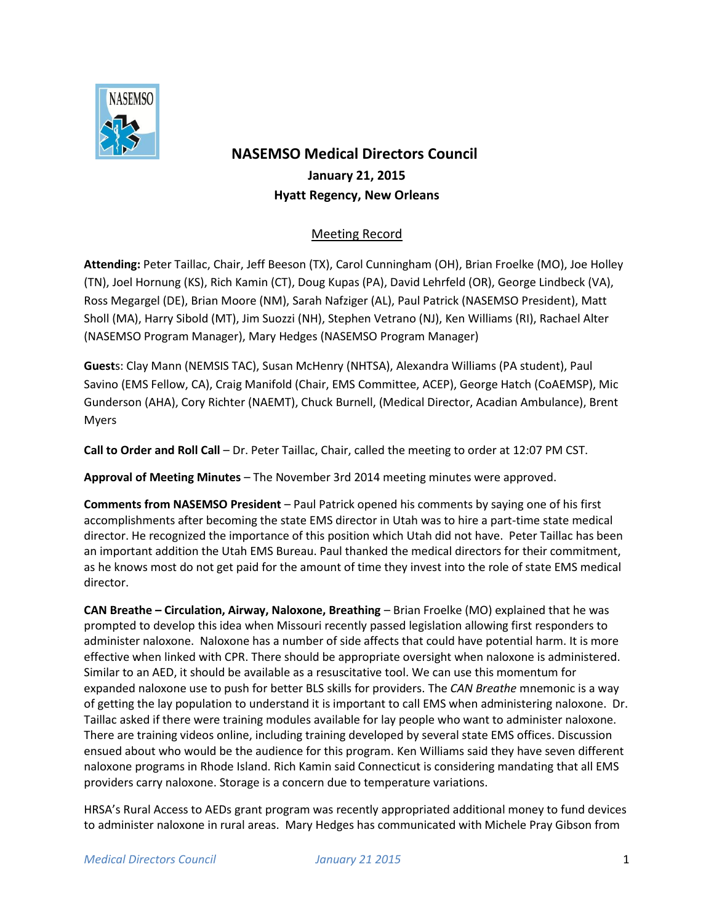

# **NASEMSO Medical Directors Council January 21, 2015 Hyatt Regency, New Orleans**

## Meeting Record

**Attending:** Peter Taillac, Chair, Jeff Beeson (TX), Carol Cunningham (OH), Brian Froelke (MO), Joe Holley (TN), Joel Hornung (KS), Rich Kamin (CT), Doug Kupas (PA), David Lehrfeld (OR), George Lindbeck (VA), Ross Megargel (DE), Brian Moore (NM), Sarah Nafziger (AL), Paul Patrick (NASEMSO President), Matt Sholl (MA), Harry Sibold (MT), Jim Suozzi (NH), Stephen Vetrano (NJ), Ken Williams (RI), Rachael Alter (NASEMSO Program Manager), Mary Hedges (NASEMSO Program Manager)

**Guest**s: Clay Mann (NEMSIS TAC), Susan McHenry (NHTSA), Alexandra Williams (PA student), Paul Savino (EMS Fellow, CA), Craig Manifold (Chair, EMS Committee, ACEP), George Hatch (CoAEMSP), Mic Gunderson (AHA), Cory Richter (NAEMT), Chuck Burnell, (Medical Director, Acadian Ambulance), Brent Myers

**Call to Order and Roll Call** – Dr. Peter Taillac, Chair, called the meeting to order at 12:07 PM CST.

**Approval of Meeting Minutes** – The November 3rd 2014 meeting minutes were approved.

**Comments from NASEMSO President** – Paul Patrick opened his comments by saying one of his first accomplishments after becoming the state EMS director in Utah was to hire a part-time state medical director. He recognized the importance of this position which Utah did not have. Peter Taillac has been an important addition the Utah EMS Bureau. Paul thanked the medical directors for their commitment, as he knows most do not get paid for the amount of time they invest into the role of state EMS medical director.

**CAN Breathe – Circulation, Airway, Naloxone, Breathing** – Brian Froelke (MO) explained that he was prompted to develop this idea when Missouri recently passed legislation allowing first responders to administer naloxone. Naloxone has a number of side affects that could have potential harm. It is more effective when linked with CPR. There should be appropriate oversight when naloxone is administered. Similar to an AED, it should be available as a resuscitative tool. We can use this momentum for expanded naloxone use to push for better BLS skills for providers. The *CAN Breathe* mnemonic is a way of getting the lay population to understand it is important to call EMS when administering naloxone. Dr. Taillac asked if there were training modules available for lay people who want to administer naloxone. There are training videos online, including training developed by several state EMS offices. Discussion ensued about who would be the audience for this program. Ken Williams said they have seven different naloxone programs in Rhode Island. Rich Kamin said Connecticut is considering mandating that all EMS providers carry naloxone. Storage is a concern due to temperature variations.

HRSA's Rural Access to AEDs grant program was recently appropriated additional money to fund devices to administer naloxone in rural areas. Mary Hedges has communicated with Michele Pray Gibson from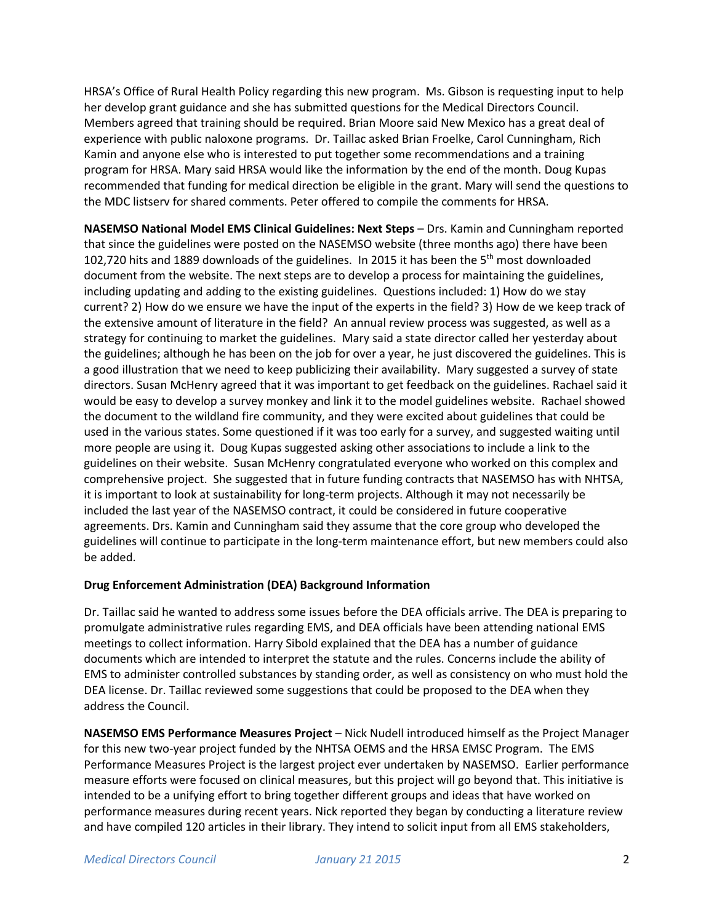HRSA's Office of Rural Health Policy regarding this new program. Ms. Gibson is requesting input to help her develop grant guidance and she has submitted questions for the Medical Directors Council. Members agreed that training should be required. Brian Moore said New Mexico has a great deal of experience with public naloxone programs. Dr. Taillac asked Brian Froelke, Carol Cunningham, Rich Kamin and anyone else who is interested to put together some recommendations and a training program for HRSA. Mary said HRSA would like the information by the end of the month. Doug Kupas recommended that funding for medical direction be eligible in the grant. Mary will send the questions to the MDC listserv for shared comments. Peter offered to compile the comments for HRSA.

**NASEMSO National Model EMS Clinical Guidelines: Next Steps** – Drs. Kamin and Cunningham reported that since the guidelines were posted on the NASEMSO website (three months ago) there have been 102,720 hits and 1889 downloads of the guidelines. In 2015 it has been the 5<sup>th</sup> most downloaded document from the website. The next steps are to develop a process for maintaining the guidelines, including updating and adding to the existing guidelines. Questions included: 1) How do we stay current? 2) How do we ensure we have the input of the experts in the field? 3) How de we keep track of the extensive amount of literature in the field? An annual review process was suggested, as well as a strategy for continuing to market the guidelines. Mary said a state director called her yesterday about the guidelines; although he has been on the job for over a year, he just discovered the guidelines. This is a good illustration that we need to keep publicizing their availability. Mary suggested a survey of state directors. Susan McHenry agreed that it was important to get feedback on the guidelines. Rachael said it would be easy to develop a survey monkey and link it to the model guidelines website. Rachael showed the document to the wildland fire community, and they were excited about guidelines that could be used in the various states. Some questioned if it was too early for a survey, and suggested waiting until more people are using it. Doug Kupas suggested asking other associations to include a link to the guidelines on their website. Susan McHenry congratulated everyone who worked on this complex and comprehensive project. She suggested that in future funding contracts that NASEMSO has with NHTSA, it is important to look at sustainability for long-term projects. Although it may not necessarily be included the last year of the NASEMSO contract, it could be considered in future cooperative agreements. Drs. Kamin and Cunningham said they assume that the core group who developed the guidelines will continue to participate in the long-term maintenance effort, but new members could also be added.

#### **Drug Enforcement Administration (DEA) Background Information**

Dr. Taillac said he wanted to address some issues before the DEA officials arrive. The DEA is preparing to promulgate administrative rules regarding EMS, and DEA officials have been attending national EMS meetings to collect information. Harry Sibold explained that the DEA has a number of guidance documents which are intended to interpret the statute and the rules. Concerns include the ability of EMS to administer controlled substances by standing order, as well as consistency on who must hold the DEA license. Dr. Taillac reviewed some suggestions that could be proposed to the DEA when they address the Council.

**NASEMSO EMS Performance Measures Project** – Nick Nudell introduced himself as the Project Manager for this new two-year project funded by the NHTSA OEMS and the HRSA EMSC Program. The EMS Performance Measures Project is the largest project ever undertaken by NASEMSO. Earlier performance measure efforts were focused on clinical measures, but this project will go beyond that. This initiative is intended to be a unifying effort to bring together different groups and ideas that have worked on performance measures during recent years. Nick reported they began by conducting a literature review and have compiled 120 articles in their library. They intend to solicit input from all EMS stakeholders,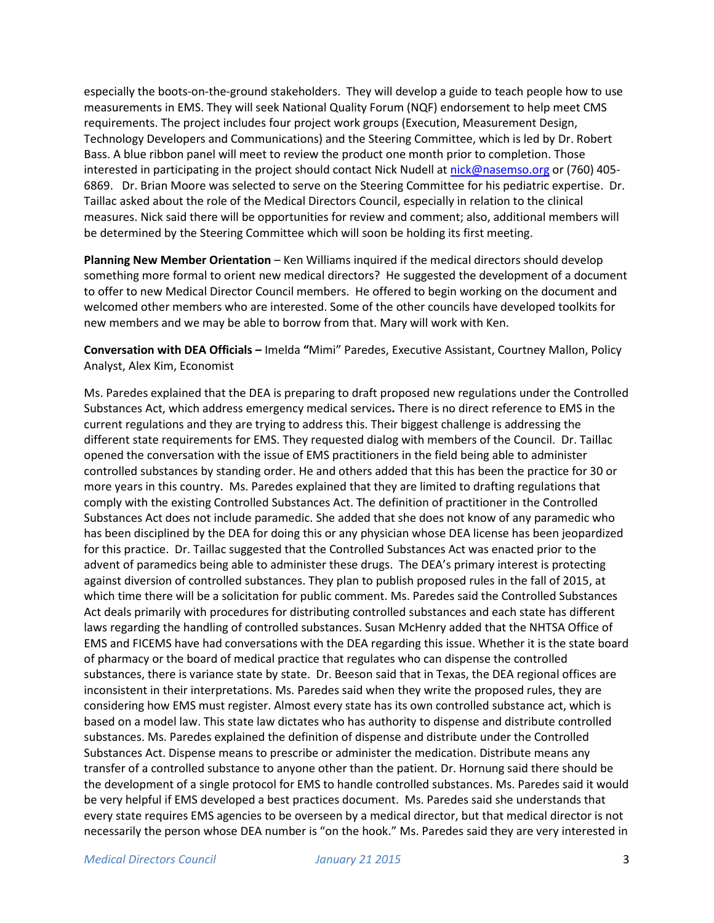especially the boots-on-the-ground stakeholders. They will develop a guide to teach people how to use measurements in EMS. They will seek National Quality Forum (NQF) endorsement to help meet CMS requirements. The project includes four project work groups (Execution, Measurement Design, Technology Developers and Communications) and the Steering Committee, which is led by Dr. Robert Bass. A blue ribbon panel will meet to review the product one month prior to completion. Those interested in participating in the project should contact Nick Nudell at [nick@nasemso.org](mailto:nick@nasemso.org) or (760) 405- 6869. Dr. Brian Moore was selected to serve on the Steering Committee for his pediatric expertise. Dr. Taillac asked about the role of the Medical Directors Council, especially in relation to the clinical measures. Nick said there will be opportunities for review and comment; also, additional members will be determined by the Steering Committee which will soon be holding its first meeting.

**Planning New Member Orientation** – Ken Williams inquired if the medical directors should develop something more formal to orient new medical directors? He suggested the development of a document to offer to new Medical Director Council members. He offered to begin working on the document and welcomed other members who are interested. Some of the other councils have developed toolkits for new members and we may be able to borrow from that. Mary will work with Ken.

**Conversation with DEA Officials –** Imelda **"**Mimi" Paredes, Executive Assistant, Courtney Mallon, Policy Analyst, Alex Kim, Economist

Ms. Paredes explained that the DEA is preparing to draft proposed new regulations under the Controlled Substances Act, which address emergency medical services**.** There is no direct reference to EMS in the current regulations and they are trying to address this. Their biggest challenge is addressing the different state requirements for EMS. They requested dialog with members of the Council. Dr. Taillac opened the conversation with the issue of EMS practitioners in the field being able to administer controlled substances by standing order. He and others added that this has been the practice for 30 or more years in this country. Ms. Paredes explained that they are limited to drafting regulations that comply with the existing Controlled Substances Act. The definition of practitioner in the Controlled Substances Act does not include paramedic. She added that she does not know of any paramedic who has been disciplined by the DEA for doing this or any physician whose DEA license has been jeopardized for this practice. Dr. Taillac suggested that the Controlled Substances Act was enacted prior to the advent of paramedics being able to administer these drugs. The DEA's primary interest is protecting against diversion of controlled substances. They plan to publish proposed rules in the fall of 2015, at which time there will be a solicitation for public comment. Ms. Paredes said the Controlled Substances Act deals primarily with procedures for distributing controlled substances and each state has different laws regarding the handling of controlled substances. Susan McHenry added that the NHTSA Office of EMS and FICEMS have had conversations with the DEA regarding this issue. Whether it is the state board of pharmacy or the board of medical practice that regulates who can dispense the controlled substances, there is variance state by state. Dr. Beeson said that in Texas, the DEA regional offices are inconsistent in their interpretations. Ms. Paredes said when they write the proposed rules, they are considering how EMS must register. Almost every state has its own controlled substance act, which is based on a model law. This state law dictates who has authority to dispense and distribute controlled substances. Ms. Paredes explained the definition of dispense and distribute under the Controlled Substances Act. Dispense means to prescribe or administer the medication. Distribute means any transfer of a controlled substance to anyone other than the patient. Dr. Hornung said there should be the development of a single protocol for EMS to handle controlled substances. Ms. Paredes said it would be very helpful if EMS developed a best practices document. Ms. Paredes said she understands that every state requires EMS agencies to be overseen by a medical director, but that medical director is not necessarily the person whose DEA number is "on the hook." Ms. Paredes said they are very interested in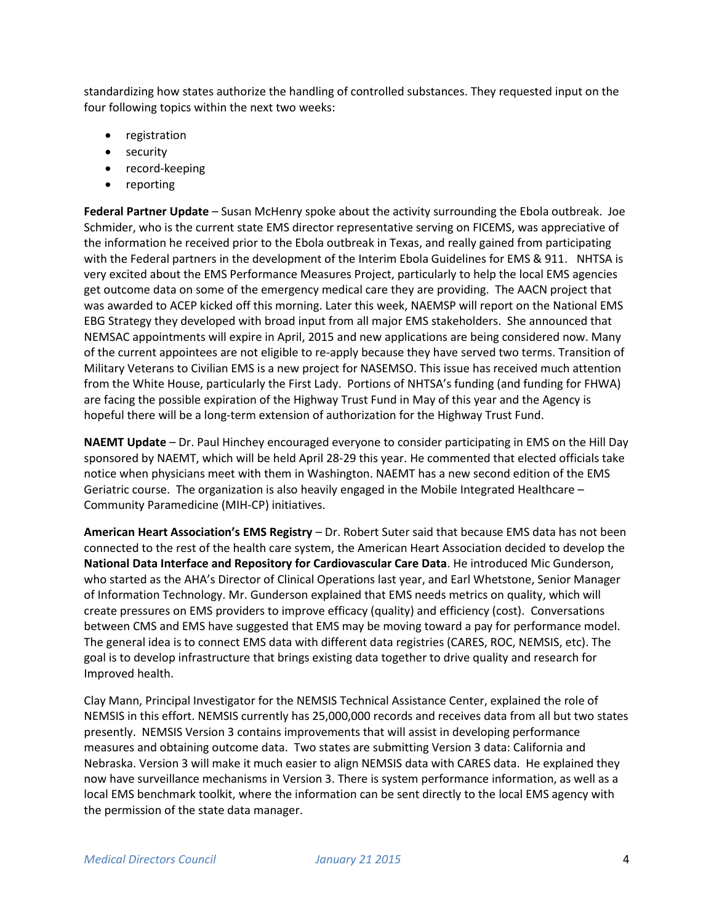standardizing how states authorize the handling of controlled substances. They requested input on the four following topics within the next two weeks:

- registration
- security
- record-keeping
- reporting

**Federal Partner Update** – Susan McHenry spoke about the activity surrounding the Ebola outbreak. Joe Schmider, who is the current state EMS director representative serving on FICEMS, was appreciative of the information he received prior to the Ebola outbreak in Texas, and really gained from participating with the Federal partners in the development of the Interim Ebola Guidelines for EMS & 911. NHTSA is very excited about the EMS Performance Measures Project, particularly to help the local EMS agencies get outcome data on some of the emergency medical care they are providing. The AACN project that was awarded to ACEP kicked off this morning. Later this week, NAEMSP will report on the National EMS EBG Strategy they developed with broad input from all major EMS stakeholders. She announced that NEMSAC appointments will expire in April, 2015 and new applications are being considered now. Many of the current appointees are not eligible to re-apply because they have served two terms. Transition of Military Veterans to Civilian EMS is a new project for NASEMSO. This issue has received much attention from the White House, particularly the First Lady. Portions of NHTSA's funding (and funding for FHWA) are facing the possible expiration of the Highway Trust Fund in May of this year and the Agency is hopeful there will be a long-term extension of authorization for the Highway Trust Fund.

**NAEMT Update** – Dr. Paul Hinchey encouraged everyone to consider participating in EMS on the Hill Day sponsored by NAEMT, which will be held April 28-29 this year. He commented that elected officials take notice when physicians meet with them in Washington. NAEMT has a new second edition of the EMS Geriatric course. The organization is also heavily engaged in the Mobile Integrated Healthcare – Community Paramedicine (MIH-CP) initiatives.

**American Heart Association's EMS Registry** – Dr. Robert Suter said that because EMS data has not been connected to the rest of the health care system, the American Heart Association decided to develop the **National Data Interface and Repository for Cardiovascular Care Data**. He introduced Mic Gunderson, who started as the AHA's Director of Clinical Operations last year, and Earl Whetstone, Senior Manager of Information Technology. Mr. Gunderson explained that EMS needs metrics on quality, which will create pressures on EMS providers to improve efficacy (quality) and efficiency (cost). Conversations between CMS and EMS have suggested that EMS may be moving toward a pay for performance model. The general idea is to connect EMS data with different data registries (CARES, ROC, NEMSIS, etc). The goal is to develop infrastructure that brings existing data together to drive quality and research for Improved health.

Clay Mann, Principal Investigator for the NEMSIS Technical Assistance Center, explained the role of NEMSIS in this effort. NEMSIS currently has 25,000,000 records and receives data from all but two states presently. NEMSIS Version 3 contains improvements that will assist in developing performance measures and obtaining outcome data. Two states are submitting Version 3 data: California and Nebraska. Version 3 will make it much easier to align NEMSIS data with CARES data. He explained they now have surveillance mechanisms in Version 3. There is system performance information, as well as a local EMS benchmark toolkit, where the information can be sent directly to the local EMS agency with the permission of the state data manager.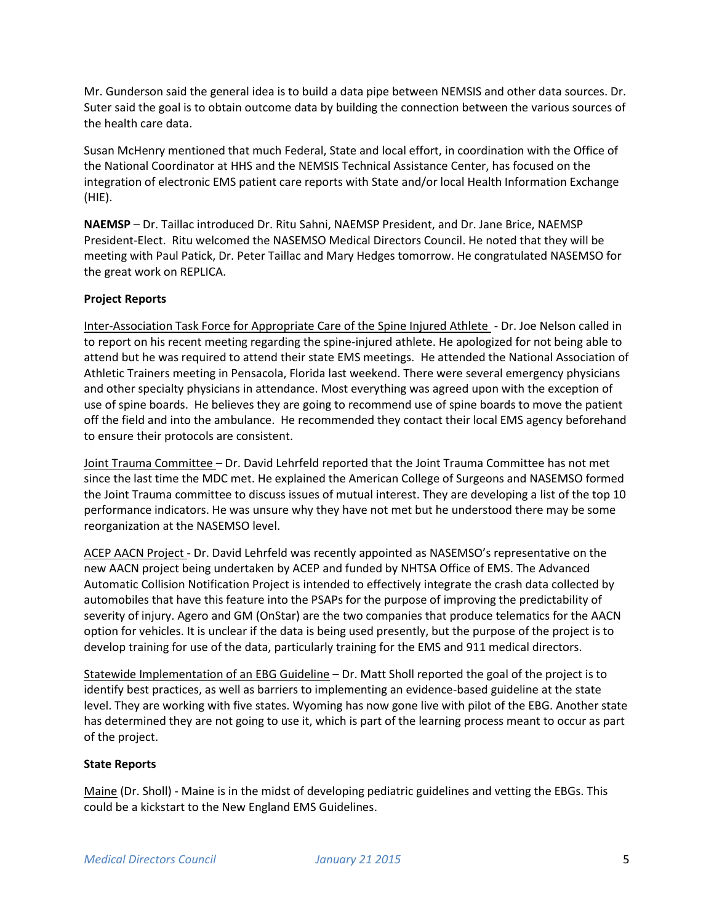Mr. Gunderson said the general idea is to build a data pipe between NEMSIS and other data sources. Dr. Suter said the goal is to obtain outcome data by building the connection between the various sources of the health care data.

Susan McHenry mentioned that much Federal, State and local effort, in coordination with the Office of the National Coordinator at HHS and the NEMSIS Technical Assistance Center, has focused on the integration of electronic EMS patient care reports with State and/or local Health Information Exchange (HIE).

**NAEMSP** – Dr. Taillac introduced Dr. Ritu Sahni, NAEMSP President, and Dr. Jane Brice, NAEMSP President-Elect. Ritu welcomed the NASEMSO Medical Directors Council. He noted that they will be meeting with Paul Patick, Dr. Peter Taillac and Mary Hedges tomorrow. He congratulated NASEMSO for the great work on REPLICA.

### **Project Reports**

Inter-Association Task Force for Appropriate Care of the Spine Injured Athlete - Dr. Joe Nelson called in to report on his recent meeting regarding the spine-injured athlete. He apologized for not being able to attend but he was required to attend their state EMS meetings. He attended the National Association of Athletic Trainers meeting in Pensacola, Florida last weekend. There were several emergency physicians and other specialty physicians in attendance. Most everything was agreed upon with the exception of use of spine boards. He believes they are going to recommend use of spine boards to move the patient off the field and into the ambulance. He recommended they contact their local EMS agency beforehand to ensure their protocols are consistent.

Joint Trauma Committee – Dr. David Lehrfeld reported that the Joint Trauma Committee has not met since the last time the MDC met. He explained the American College of Surgeons and NASEMSO formed the Joint Trauma committee to discuss issues of mutual interest. They are developing a list of the top 10 performance indicators. He was unsure why they have not met but he understood there may be some reorganization at the NASEMSO level.

ACEP AACN Project - Dr. David Lehrfeld was recently appointed as NASEMSO's representative on the new AACN project being undertaken by ACEP and funded by NHTSA Office of EMS. The Advanced Automatic Collision Notification Project is intended to effectively integrate the crash data collected by automobiles that have this feature into the PSAPs for the purpose of improving the predictability of severity of injury. Agero and GM (OnStar) are the two companies that produce telematics for the AACN option for vehicles. It is unclear if the data is being used presently, but the purpose of the project is to develop training for use of the data, particularly training for the EMS and 911 medical directors.

Statewide Implementation of an EBG Guideline – Dr. Matt Sholl reported the goal of the project is to identify best practices, as well as barriers to implementing an evidence-based guideline at the state level. They are working with five states. Wyoming has now gone live with pilot of the EBG. Another state has determined they are not going to use it, which is part of the learning process meant to occur as part of the project.

#### **State Reports**

Maine (Dr. Sholl) - Maine is in the midst of developing pediatric guidelines and vetting the EBGs. This could be a kickstart to the New England EMS Guidelines.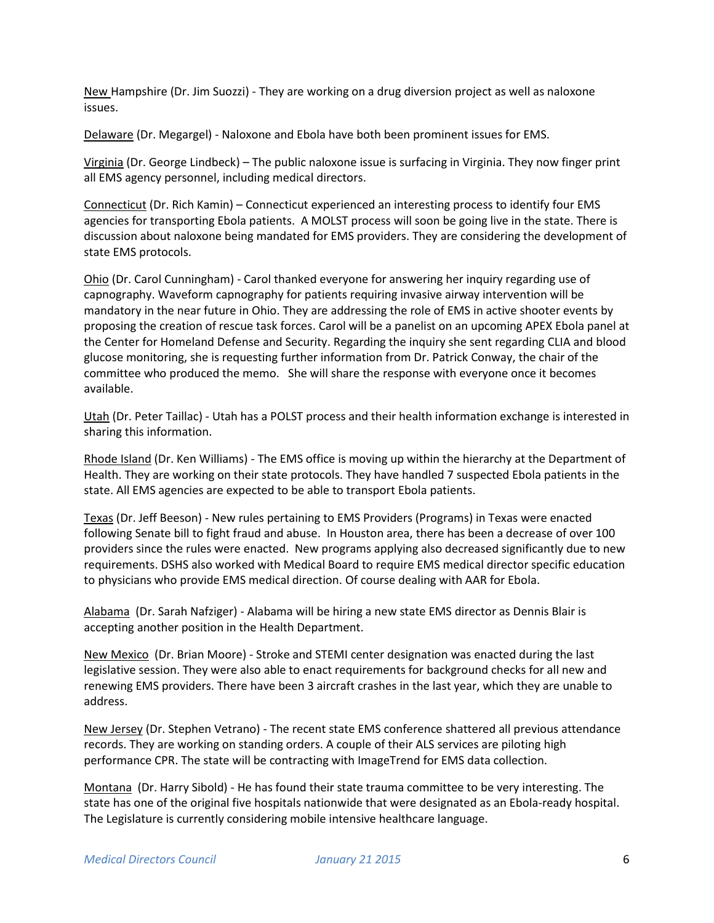New Hampshire (Dr. Jim Suozzi) - They are working on a drug diversion project as well as naloxone issues.

Delaware (Dr. Megargel) - Naloxone and Ebola have both been prominent issues for EMS.

Virginia (Dr. George Lindbeck) – The public naloxone issue is surfacing in Virginia. They now finger print all EMS agency personnel, including medical directors.

Connecticut (Dr. Rich Kamin) – Connecticut experienced an interesting process to identify four EMS agencies for transporting Ebola patients. A MOLST process will soon be going live in the state. There is discussion about naloxone being mandated for EMS providers. They are considering the development of state EMS protocols.

Ohio (Dr. Carol Cunningham) - Carol thanked everyone for answering her inquiry regarding use of capnography. Waveform capnography for patients requiring invasive airway intervention will be mandatory in the near future in Ohio. They are addressing the role of EMS in active shooter events by proposing the creation of rescue task forces. Carol will be a panelist on an upcoming APEX Ebola panel at the Center for Homeland Defense and Security. Regarding the inquiry she sent regarding CLIA and blood glucose monitoring, she is requesting further information from Dr. Patrick Conway, the chair of the committee who produced the memo. She will share the response with everyone once it becomes available.

Utah (Dr. Peter Taillac) - Utah has a POLST process and their health information exchange is interested in sharing this information.

Rhode Island (Dr. Ken Williams) - The EMS office is moving up within the hierarchy at the Department of Health. They are working on their state protocols. They have handled 7 suspected Ebola patients in the state. All EMS agencies are expected to be able to transport Ebola patients.

Texas (Dr. Jeff Beeson) - New rules pertaining to EMS Providers (Programs) in Texas were enacted following Senate bill to fight fraud and abuse. In Houston area, there has been a decrease of over 100 providers since the rules were enacted. New programs applying also decreased significantly due to new requirements. DSHS also worked with Medical Board to require EMS medical director specific education to physicians who provide EMS medical direction. Of course dealing with AAR for Ebola.

Alabama (Dr. Sarah Nafziger) - Alabama will be hiring a new state EMS director as Dennis Blair is accepting another position in the Health Department.

New Mexico (Dr. Brian Moore) - Stroke and STEMI center designation was enacted during the last legislative session. They were also able to enact requirements for background checks for all new and renewing EMS providers. There have been 3 aircraft crashes in the last year, which they are unable to address.

New Jersey (Dr. Stephen Vetrano) - The recent state EMS conference shattered all previous attendance records. They are working on standing orders. A couple of their ALS services are piloting high performance CPR. The state will be contracting with ImageTrend for EMS data collection.

Montana (Dr. Harry Sibold) - He has found their state trauma committee to be very interesting. The state has one of the original five hospitals nationwide that were designated as an Ebola-ready hospital. The Legislature is currently considering mobile intensive healthcare language.